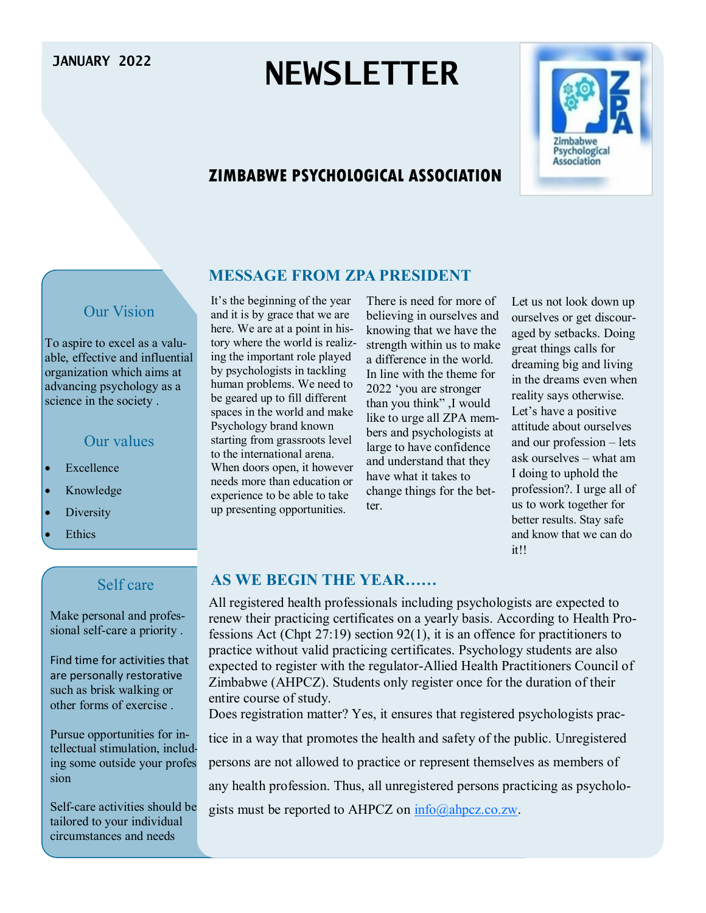# **JANUARY 2022 NEWSLETTER**

# **ZIMBABWE PSYCHOLOGICAL ASSOCIATION**



## Our Vision

To aspire to excel as a valuable, effective and influential organization which aims at advancing psychology as a science in the society .

#### Our values

- Excellence
- Knowledge
- Diversity
- **Ethics**

#### Self care

Make personal and professional self-care a priority .

Find time for activities that are personally restorative such as brisk walking or other forms of exercise .

Pursue opportunities for intellectual stimulation, including some outside your profession

Self-care activities should be tailored to your individual circumstances and needs

#### **MESSAGE FROM ZPA PRESIDENT**

It's the beginning of the year and it is by grace that we are here. We are at a point in history where the world is realizing the important role played by psychologists in tackling human problems. We need to be geared up to fill different spaces in the world and make Psychology brand known starting from grassroots level to the international arena. When doors open, it however needs more than education or experience to be able to take up presenting opportunities.

There is need for more of believing in ourselves and knowing that we have the strength within us to make a difference in the world. In line with the theme for 2022 'you are stronger than you think" ,I would like to urge all ZPA members and psychologists at large to have confidence and understand that they have what it takes to change things for the better.

Let us not look down up ourselves or get discouraged by setbacks. Doing great things calls for dreaming big and living in the dreams even when reality says otherwise. Let's have a positive attitude about ourselves and our profession – lets ask ourselves – what am I doing to uphold the profession?. I urge all of us to work together for better results. Stay safe and know that we can do it!!

#### **AS WE BEGIN THE YEAR……**

All registered health professionals including psychologists are expected to renew their practicing certificates on a yearly basis. According to Health Professions Act (Chpt 27:19) section 92(1), it is an offence for practitioners to practice without valid practicing certificates. Psychology students are also expected to register with the regulator-Allied Health Practitioners Council of Zimbabwe (AHPCZ). Students only register once for the duration of their entire course of study.

Does registration matter? Yes, it ensures that registered psychologists prac-

tice in a way that promotes the health and safety of the public. Unregistered

persons are not allowed to practice or represent themselves as members of

any health profession. Thus, all unregistered persons practicing as psycholo-

gists must be reported to AHPCZ on  $info(\hat{\omega}$ ahpcz.co.zw.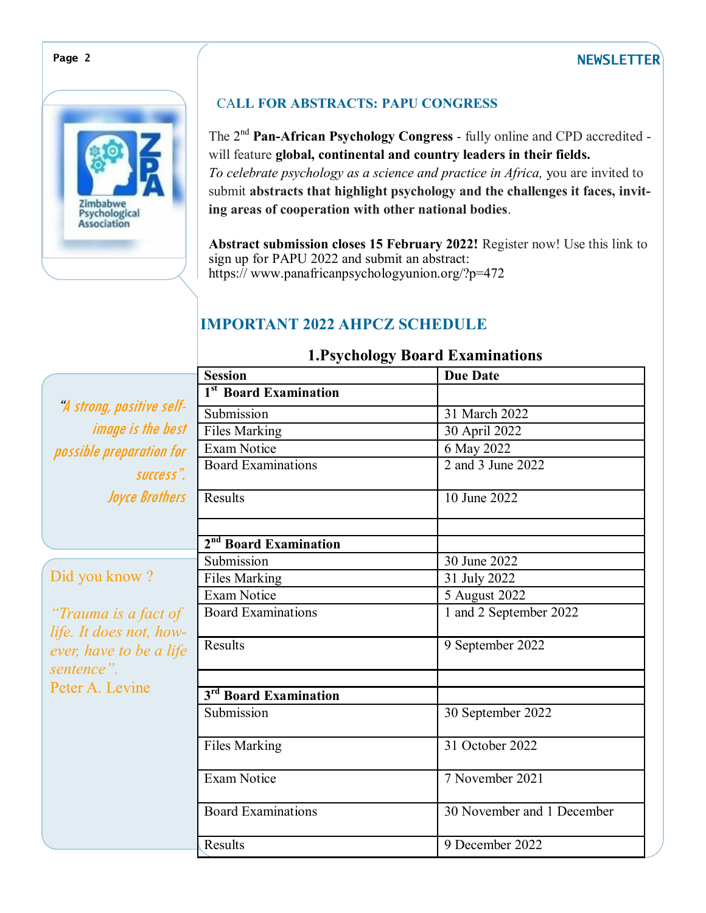## **Page 2 NEWSLETTER**



## CA**LL FOR ABSTRACTS: PAPU CONGRESS**

The 2<sup>nd</sup> Pan-African Psychology Congress - fully online and CPD accredited will feature **global, continental and country leaders in their fields.** *To celebrate psychology as a science and practice in Africa,* you are invited to submit **abstracts that highlight psychology and the challenges it faces, inviting areas of cooperation with other national bodies**.

**Abstract submission closes 15 February 2022!** Register now! Use this link to sign up for PAPU 2022 and submit an abstract: https:// www.panafricanpsychologyunion.org/?p=472

# **IMPORTANT 2022 AHPCZ SCHEDULE**

|                                       | ञ<br><b>Session</b>               | <b>Due Date</b>            |
|---------------------------------------|-----------------------------------|----------------------------|
|                                       | 1 <sup>st</sup> Board Examination |                            |
| "A strong, positive self-             | Submission                        | 31 March 2022              |
| <i>image is the best</i>              | <b>Files Marking</b>              | 30 April 2022              |
| possible preparation for              | <b>Exam Notice</b>                | 6 May 2022                 |
| success".                             | <b>Board Examinations</b>         | 2 and 3 June 2022          |
| <b>Joyce Brothers</b>                 | Results                           | 10 June 2022               |
|                                       |                                   |                            |
|                                       | 2 <sup>nd</sup> Board Examination |                            |
|                                       | Submission                        | 30 June 2022               |
| Did you know?                         | <b>Files Marking</b>              | 31 July 2022               |
|                                       | <b>Exam Notice</b>                | 5 August 2022              |
| "Trauma is a fact of                  | <b>Board Examinations</b>         | 1 and 2 September 2022     |
| life. It does not, how-               |                                   |                            |
| ever, have to be a life<br>sentence". | Results                           | 9 September 2022           |
| Peter A. Levine                       |                                   |                            |
|                                       | 3 <sup>rd</sup> Board Examination |                            |
|                                       | Submission                        | 30 September 2022          |
|                                       | <b>Files Marking</b>              | 31 October 2022            |
|                                       | <b>Exam Notice</b>                | 7 November 2021            |
|                                       | <b>Board Examinations</b>         | 30 November and 1 December |
|                                       | Results                           | 9 December 2022            |

#### **1.Psychology Board Examinations**